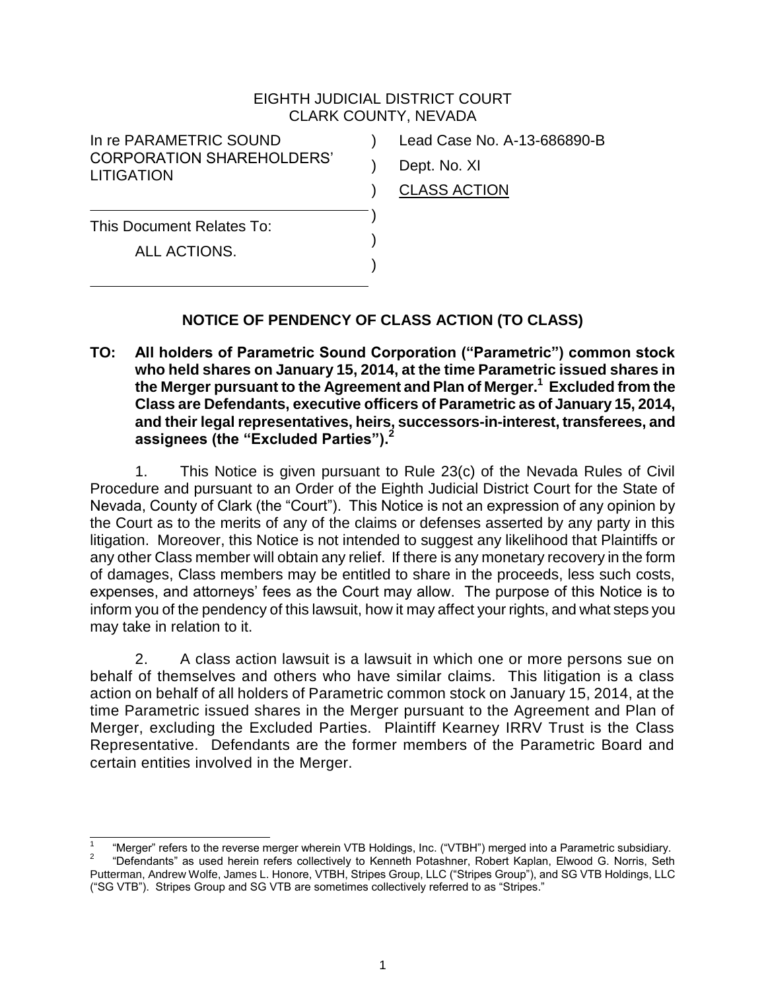## EIGHTH JUDICIAL DISTRICT COURT CLARK COUNTY, NEVADA

| In re PARAMETRIC SOUND<br><b>CORPORATION SHAREHOLDERS'</b><br><b>LITIGATION</b> | Lead Case No. A-13-686890-B |
|---------------------------------------------------------------------------------|-----------------------------|
|                                                                                 | Dept. No. XI                |
|                                                                                 | <b>CLASS ACTION</b>         |
| This Document Relates To:<br>ALL ACTIONS.                                       |                             |
|                                                                                 |                             |
|                                                                                 |                             |

## **NOTICE OF PENDENCY OF CLASS ACTION (TO CLASS)**

**TO: All holders of Parametric Sound Corporation ("Parametric") common stock who held shares on January 15, 2014, at the time Parametric issued shares in the Merger pursuant to the Agreement and Plan of Merger.<sup>1</sup> Excluded from the Class are Defendants, executive officers of Parametric as of January 15, 2014, and their legal representatives, heirs, successors-in-interest, transferees, and assignees (the "Excluded Parties"). 2**

1. This Notice is given pursuant to Rule 23(c) of the Nevada Rules of Civil Procedure and pursuant to an Order of the Eighth Judicial District Court for the State of Nevada, County of Clark (the "Court"). This Notice is not an expression of any opinion by the Court as to the merits of any of the claims or defenses asserted by any party in this litigation. Moreover, this Notice is not intended to suggest any likelihood that Plaintiffs or any other Class member will obtain any relief. If there is any monetary recovery in the form of damages, Class members may be entitled to share in the proceeds, less such costs, expenses, and attorneys' fees as the Court may allow. The purpose of this Notice is to inform you of the pendency of this lawsuit, how it may affect your rights, and what steps you may take in relation to it.

2. A class action lawsuit is a lawsuit in which one or more persons sue on behalf of themselves and others who have similar claims. This litigation is a class action on behalf of all holders of Parametric common stock on January 15, 2014, at the time Parametric issued shares in the Merger pursuant to the Agreement and Plan of Merger, excluding the Excluded Parties. Plaintiff Kearney IRRV Trust is the Class Representative. Defendants are the former members of the Parametric Board and certain entities involved in the Merger.

 $\frac{1}{4}$ 1 "Merger" refers to the reverse merger wherein VTB Holdings, Inc. ("VTBH") merged into a Parametric subsidiary. 2 "Defendants" as used herein refers collectively to Kenneth Potashner, Robert Kaplan, Elwood G. Norris, Seth Putterman, Andrew Wolfe, James L. Honore, VTBH, Stripes Group, LLC ("Stripes Group"), and SG VTB Holdings, LLC ("SG VTB"). Stripes Group and SG VTB are sometimes collectively referred to as "Stripes."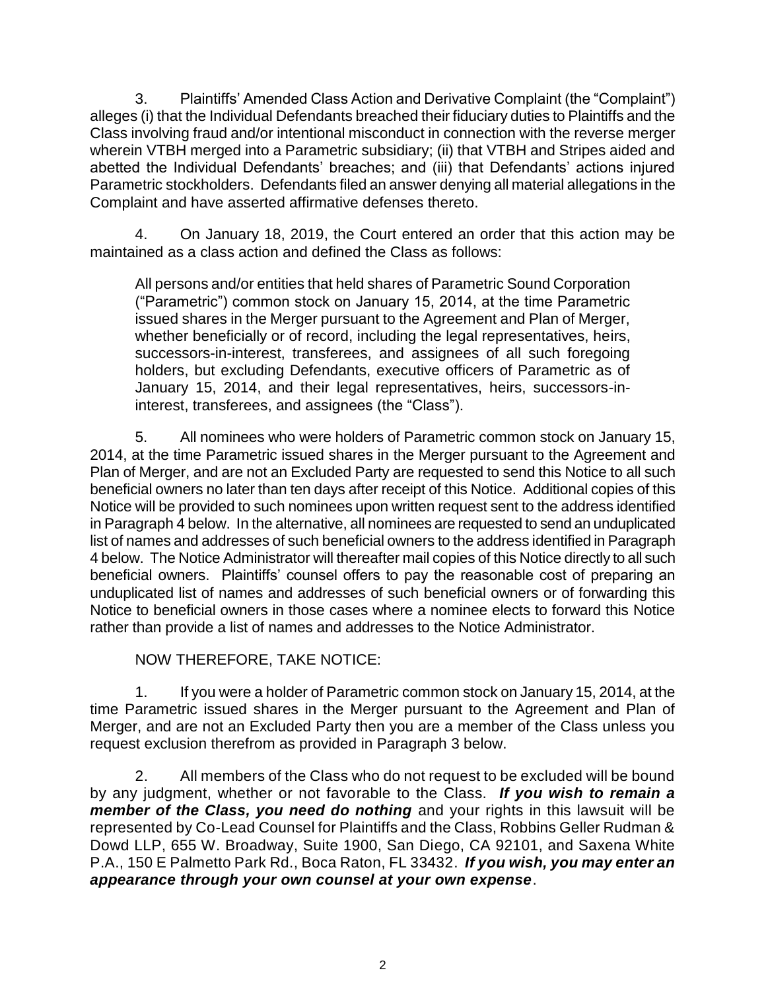3. Plaintiffs' Amended Class Action and Derivative Complaint (the "Complaint") alleges (i) that the Individual Defendants breached their fiduciary duties to Plaintiffs and the Class involving fraud and/or intentional misconduct in connection with the reverse merger wherein VTBH merged into a Parametric subsidiary; (ii) that VTBH and Stripes aided and abetted the Individual Defendants' breaches; and (iii) that Defendants' actions injured Parametric stockholders. Defendants filed an answer denying all material allegations in the Complaint and have asserted affirmative defenses thereto.

4. On January 18, 2019, the Court entered an order that this action may be maintained as a class action and defined the Class as follows:

All persons and/or entities that held shares of Parametric Sound Corporation ("Parametric") common stock on January 15, 2014, at the time Parametric issued shares in the Merger pursuant to the Agreement and Plan of Merger, whether beneficially or of record, including the legal representatives, heirs, successors-in-interest, transferees, and assignees of all such foregoing holders, but excluding Defendants, executive officers of Parametric as of January 15, 2014, and their legal representatives, heirs, successors-ininterest, transferees, and assignees (the "Class").

5. All nominees who were holders of Parametric common stock on January 15, 2014, at the time Parametric issued shares in the Merger pursuant to the Agreement and Plan of Merger, and are not an Excluded Party are requested to send this Notice to all such beneficial owners no later than ten days after receipt of this Notice. Additional copies of this Notice will be provided to such nominees upon written request sent to the address identified in Paragraph 4 below. In the alternative, all nominees are requested to send an unduplicated list of names and addresses of such beneficial owners to the address identified in Paragraph 4 below. The Notice Administrator will thereafter mail copies of this Notice directly to all such beneficial owners. Plaintiffs' counsel offers to pay the reasonable cost of preparing an unduplicated list of names and addresses of such beneficial owners or of forwarding this Notice to beneficial owners in those cases where a nominee elects to forward this Notice rather than provide a list of names and addresses to the Notice Administrator.

NOW THEREFORE, TAKE NOTICE:

1. If you were a holder of Parametric common stock on January 15, 2014, at the time Parametric issued shares in the Merger pursuant to the Agreement and Plan of Merger, and are not an Excluded Party then you are a member of the Class unless you request exclusion therefrom as provided in Paragraph 3 below.

2. All members of the Class who do not request to be excluded will be bound by any judgment, whether or not favorable to the Class. *If you wish to remain a member of the Class, you need do nothing* and your rights in this lawsuit will be represented by Co-Lead Counsel for Plaintiffs and the Class, Robbins Geller Rudman & Dowd LLP, 655 W. Broadway, Suite 1900, San Diego, CA 92101, and Saxena White P.A., 150 E Palmetto Park Rd., Boca Raton, FL 33432. *If you wish, you may enter an appearance through your own counsel at your own expense*.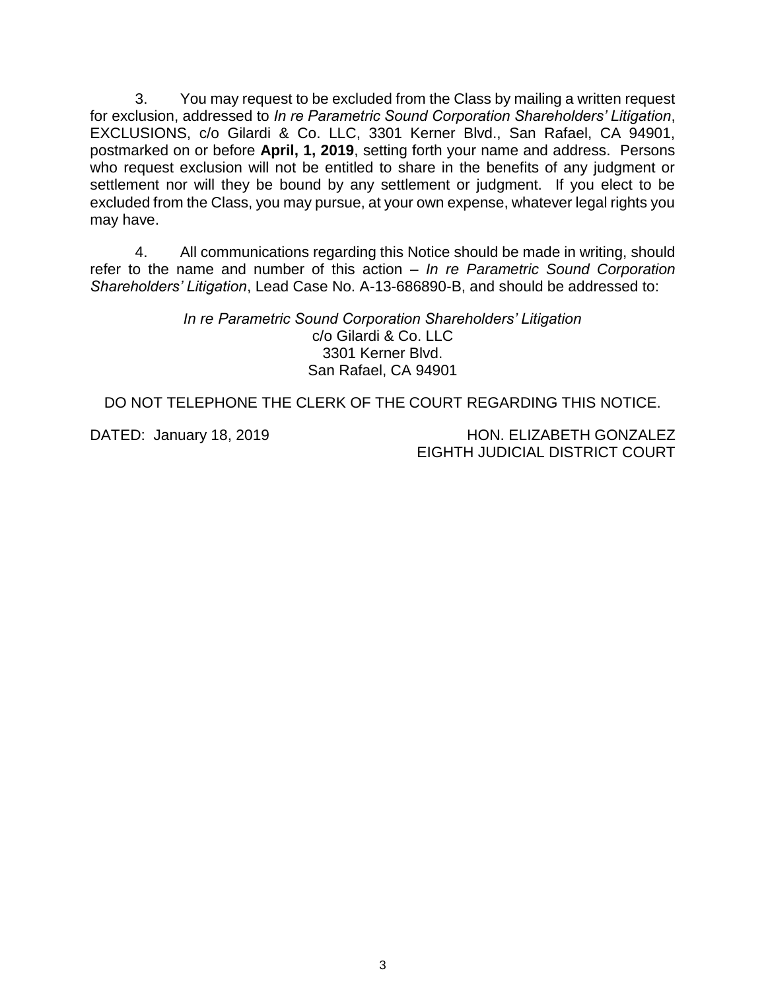3. You may request to be excluded from the Class by mailing a written request for exclusion, addressed to *In re Parametric Sound Corporation Shareholders' Litigation*, EXCLUSIONS, c/o Gilardi & Co. LLC, 3301 Kerner Blvd., San Rafael, CA 94901, postmarked on or before **April, 1, 2019**, setting forth your name and address. Persons who request exclusion will not be entitled to share in the benefits of any judgment or settlement nor will they be bound by any settlement or judgment. If you elect to be excluded from the Class, you may pursue, at your own expense, whatever legal rights you may have.

4. All communications regarding this Notice should be made in writing, should refer to the name and number of this action – *In re Parametric Sound Corporation Shareholders' Litigation*, Lead Case No. A-13-686890-B, and should be addressed to:

> *In re Parametric Sound Corporation Shareholders' Litigation*  c/o Gilardi & Co. LLC 3301 Kerner Blvd. San Rafael, CA 94901

DO NOT TELEPHONE THE CLERK OF THE COURT REGARDING THIS NOTICE.

DATED: January 18, 2019 HON. ELIZABETH GONZALEZ EIGHTH JUDICIAL DISTRICT COURT